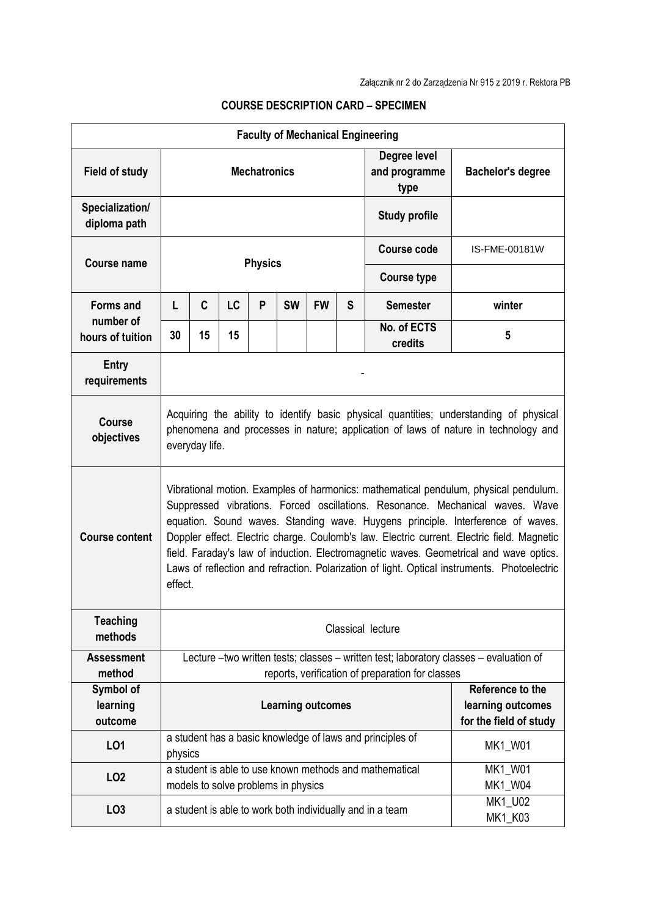| <b>Faculty of Mechanical Engineering</b>   |                                                                                                                                                                                                                                                                                                                                                                                                                                                                                                                                                             |    |    |   |                                     |           |                                       |                                                                 |                      |
|--------------------------------------------|-------------------------------------------------------------------------------------------------------------------------------------------------------------------------------------------------------------------------------------------------------------------------------------------------------------------------------------------------------------------------------------------------------------------------------------------------------------------------------------------------------------------------------------------------------------|----|----|---|-------------------------------------|-----------|---------------------------------------|-----------------------------------------------------------------|----------------------|
| <b>Field of study</b>                      | <b>Mechatronics</b>                                                                                                                                                                                                                                                                                                                                                                                                                                                                                                                                         |    |    |   |                                     |           | Degree level<br>and programme<br>type | <b>Bachelor's degree</b>                                        |                      |
| Specialization/<br>diploma path            |                                                                                                                                                                                                                                                                                                                                                                                                                                                                                                                                                             |    |    |   |                                     |           |                                       | <b>Study profile</b>                                            |                      |
| <b>Course name</b>                         | <b>Physics</b>                                                                                                                                                                                                                                                                                                                                                                                                                                                                                                                                              |    |    |   |                                     |           |                                       | <b>Course code</b>                                              | <b>IS-FME-00181W</b> |
|                                            |                                                                                                                                                                                                                                                                                                                                                                                                                                                                                                                                                             |    |    |   |                                     |           |                                       | <b>Course type</b>                                              |                      |
| Forms and<br>number of<br>hours of tuition | L                                                                                                                                                                                                                                                                                                                                                                                                                                                                                                                                                           | C  | LC | P | <b>SW</b>                           | <b>FW</b> | S                                     | <b>Semester</b>                                                 | winter               |
|                                            | 30                                                                                                                                                                                                                                                                                                                                                                                                                                                                                                                                                          | 15 | 15 |   |                                     |           |                                       | No. of ECTS<br>credits                                          | 5                    |
| Entry<br>requirements                      |                                                                                                                                                                                                                                                                                                                                                                                                                                                                                                                                                             |    |    |   |                                     |           |                                       |                                                                 |                      |
| <b>Course</b><br>objectives                | Acquiring the ability to identify basic physical quantities; understanding of physical<br>phenomena and processes in nature; application of laws of nature in technology and<br>everyday life.                                                                                                                                                                                                                                                                                                                                                              |    |    |   |                                     |           |                                       |                                                                 |                      |
| <b>Course content</b>                      | Vibrational motion. Examples of harmonics: mathematical pendulum, physical pendulum.<br>Suppressed vibrations. Forced oscillations. Resonance. Mechanical waves. Wave<br>equation. Sound waves. Standing wave. Huygens principle. Interference of waves.<br>Doppler effect. Electric charge. Coulomb's law. Electric current. Electric field. Magnetic<br>field. Faraday's law of induction. Electromagnetic waves. Geometrical and wave optics.<br>Laws of reflection and refraction. Polarization of light. Optical instruments. Photoelectric<br>effect. |    |    |   |                                     |           |                                       |                                                                 |                      |
| <b>Teaching</b><br>methods                 | Classical lecture                                                                                                                                                                                                                                                                                                                                                                                                                                                                                                                                           |    |    |   |                                     |           |                                       |                                                                 |                      |
| <b>Assessment</b><br>method                | Lecture -two written tests; classes - written test; laboratory classes - evaluation of<br>reports, verification of preparation for classes                                                                                                                                                                                                                                                                                                                                                                                                                  |    |    |   |                                     |           |                                       |                                                                 |                      |
| Symbol of<br>learning<br>outcome           | <b>Learning outcomes</b>                                                                                                                                                                                                                                                                                                                                                                                                                                                                                                                                    |    |    |   |                                     |           |                                       | Reference to the<br>learning outcomes<br>for the field of study |                      |
| L01                                        | a student has a basic knowledge of laws and principles of<br>MK1_W01<br>physics                                                                                                                                                                                                                                                                                                                                                                                                                                                                             |    |    |   |                                     |           |                                       |                                                                 |                      |
| LO <sub>2</sub>                            |                                                                                                                                                                                                                                                                                                                                                                                                                                                                                                                                                             |    |    |   | models to solve problems in physics |           |                                       | a student is able to use known methods and mathematical         | MK1_W01<br>MK1_W04   |
| LO <sub>3</sub>                            |                                                                                                                                                                                                                                                                                                                                                                                                                                                                                                                                                             |    |    |   |                                     |           |                                       | a student is able to work both individually and in a team       | MK1_U02<br>MK1_K03   |

## **COURSE DESCRIPTION CARD – SPECIMEN**